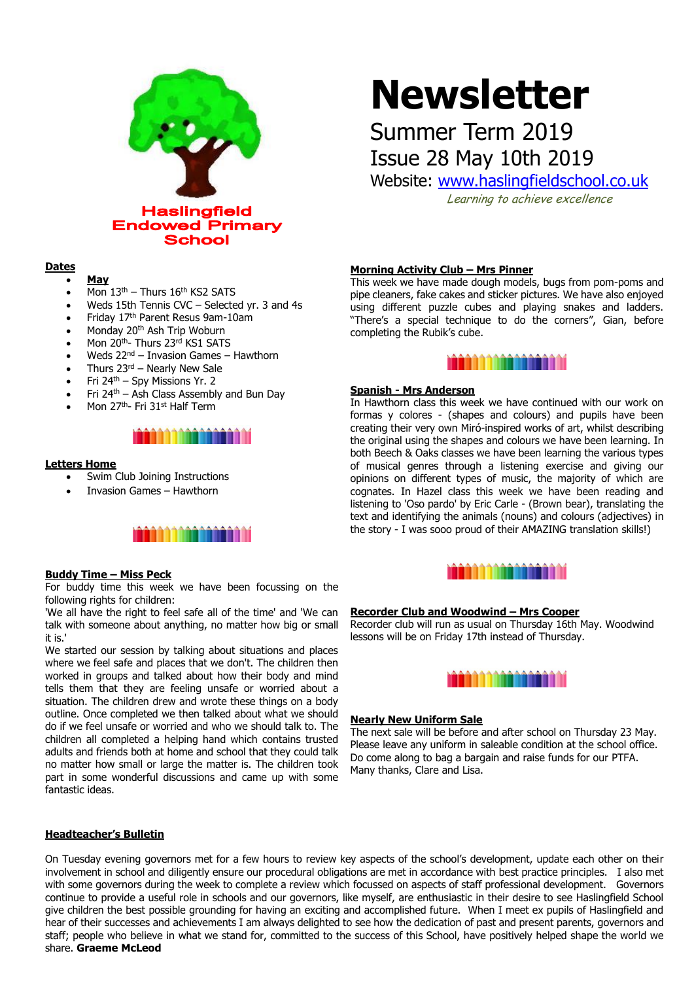

# **Dates**

- **May**
- Mon 13<sup>th</sup> Thurs 16<sup>th</sup> KS2 SATS
- Weds 15th Tennis CVC Selected yr. 3 and 4s
- Friday 17th Parent Resus 9am-10am
- Monday 20<sup>th</sup> Ash Trip Woburn
- Mon 20th- Thurs 23rd KS1 SATS
- Weds 22<sup>nd</sup> Invasion Games Hawthorn
- Thurs  $23<sup>rd</sup>$  Nearly New Sale
- Fri  $24^{th}$  Spy Missions Yr. 2
- Fri 24th Ash Class Assembly and Bun Day
- Mon 27<sup>th</sup>- Fri 31<sup>st</sup> Half Term



### **Letters Home**

- Swim Club Joining Instructions
- Invasion Games Hawthorn



## **Buddy Time – Miss Peck**

For buddy time this week we have been focussing on the following rights for children:

'We all have the right to feel safe all of the time' and 'We can talk with someone about anything, no matter how big or small it is.'

We started our session by talking about situations and places where we feel safe and places that we don't. The children then worked in groups and talked about how their body and mind tells them that they are feeling unsafe or worried about a situation. The children drew and wrote these things on a body outline. Once completed we then talked about what we should do if we feel unsafe or worried and who we should talk to. The children all completed a helping hand which contains trusted adults and friends both at home and school that they could talk no matter how small or large the matter is. The children took part in some wonderful discussions and came up with some fantastic ideas.

# **Headteacher's Bulletin**

**Newsletter**

# Summer Term 2019 Issue 28 May 10th 2019

Website: [www.haslingfieldschool.co.uk](http://www.haslingfieldschool.co.uk/)

Learning to achieve excellence

#### **Morning Activity Club – Mrs Pinner**

This week we have made dough models, bugs from pom-poms and pipe cleaners, fake cakes and sticker pictures. We have also enjoyed using different puzzle cubes and playing snakes and ladders. "There's a special technique to do the corners", Gian, before completing the Rubik's cube.



# **Spanish - Mrs Anderson**

In Hawthorn class this week we have continued with our work on formas y colores - (shapes and colours) and pupils have been creating their very own Miró-inspired works of art, whilst describing the original using the shapes and colours we have been learning. In both Beech & Oaks classes we have been learning the various types of musical genres through a listening exercise and giving our opinions on different types of music, the majority of which are cognates. In Hazel class this week we have been reading and listening to 'Oso pardo' by Eric Carle - (Brown bear), translating the text and identifying the animals (nouns) and colours (adjectives) in the story - I was sooo proud of their AMAZING translation skills!)



#### **Recorder Club and Woodwind – Mrs Cooper**

Recorder club will run as usual on Thursday 16th May. Woodwind lessons will be on Friday 17th instead of Thursday.



# **Nearly New Uniform Sale**

The next sale will be before and after school on Thursday 23 May. Please leave any uniform in saleable condition at the school office. Do come along to bag a bargain and raise funds for our PTFA. Many thanks, Clare and Lisa.

On Tuesday evening governors met for a few hours to review key aspects of the school's development, update each other on their involvement in school and diligently ensure our procedural obligations are met in accordance with best practice principles. I also met with some governors during the week to complete a review which focussed on aspects of staff professional development. Governors continue to provide a useful role in schools and our governors, like myself, are enthusiastic in their desire to see Haslingfield School give children the best possible grounding for having an exciting and accomplished future. When I meet ex pupils of Haslingfield and hear of their successes and achievements I am always delighted to see how the dedication of past and present parents, governors and staff; people who believe in what we stand for, committed to the success of this School, have positively helped shape the world we share. **Graeme McLeod**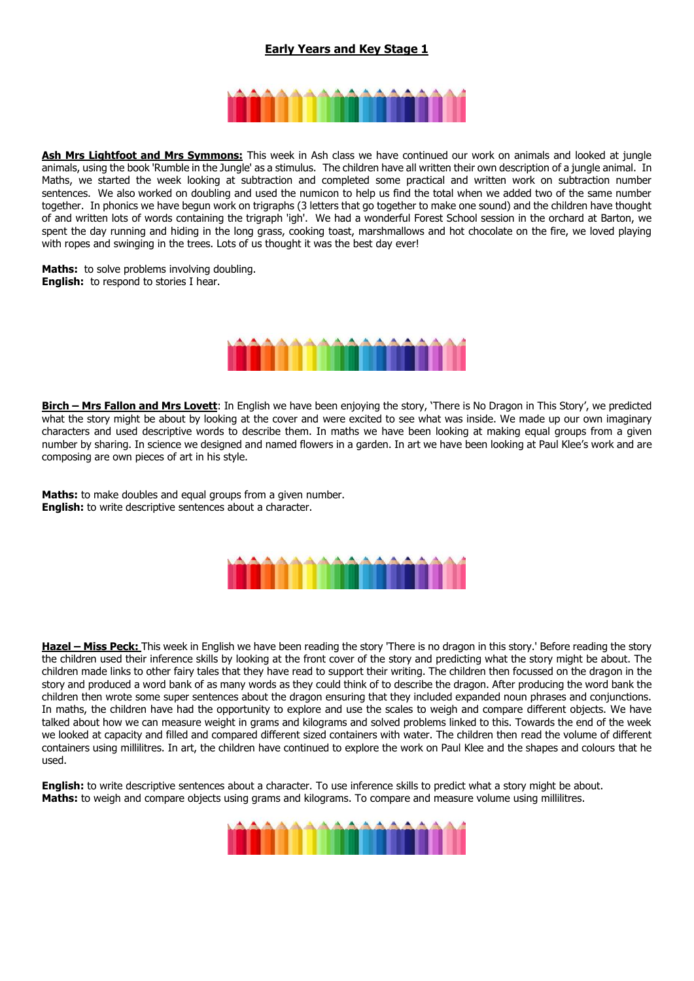# **Early Years and Key Stage 1**



**Ash Mrs Lightfoot and Mrs Symmons:** This week in Ash class we have continued our work on animals and looked at jungle animals, using the book 'Rumble in the Jungle' as a stimulus. The children have all written their own description of a jungle animal. In Maths, we started the week looking at subtraction and completed some practical and written work on subtraction number sentences. We also worked on doubling and used the numicon to help us find the total when we added two of the same number together. In phonics we have begun work on trigraphs (3 letters that go together to make one sound) and the children have thought of and written lots of words containing the trigraph 'igh'. We had a wonderful Forest School session in the orchard at Barton, we spent the day running and hiding in the long grass, cooking toast, marshmallows and hot chocolate on the fire, we loved playing with ropes and swinging in the trees. Lots of us thought it was the best day ever!

**Maths:** to solve problems involving doubling. **English:** to respond to stories I hear.



**Birch – Mrs Fallon and Mrs Lovett**: In English we have been enjoying the story, 'There is No Dragon in This Story', we predicted what the story might be about by looking at the cover and were excited to see what was inside. We made up our own imaginary characters and used descriptive words to describe them. In maths we have been looking at making equal groups from a given number by sharing. In science we designed and named flowers in a garden. In art we have been looking at Paul Klee's work and are composing are own pieces of art in his style.

**Maths:** to make doubles and equal groups from a given number. **English:** to write descriptive sentences about a character.



**Hazel - Miss Peck:** This week in English we have been reading the story 'There is no dragon in this story.' Before reading the story the children used their inference skills by looking at the front cover of the story and predicting what the story might be about. The children made links to other fairy tales that they have read to support their writing. The children then focussed on the dragon in the story and produced a word bank of as many words as they could think of to describe the dragon. After producing the word bank the children then wrote some super sentences about the dragon ensuring that they included expanded noun phrases and conjunctions. In maths, the children have had the opportunity to explore and use the scales to weigh and compare different objects. We have talked about how we can measure weight in grams and kilograms and solved problems linked to this. Towards the end of the week we looked at capacity and filled and compared different sized containers with water. The children then read the volume of different containers using millilitres. In art, the children have continued to explore the work on Paul Klee and the shapes and colours that he used.

**English:** to write descriptive sentences about a character. To use inference skills to predict what a story might be about. **Maths:** to weigh and compare objects using grams and kilograms. To compare and measure volume using millilitres.